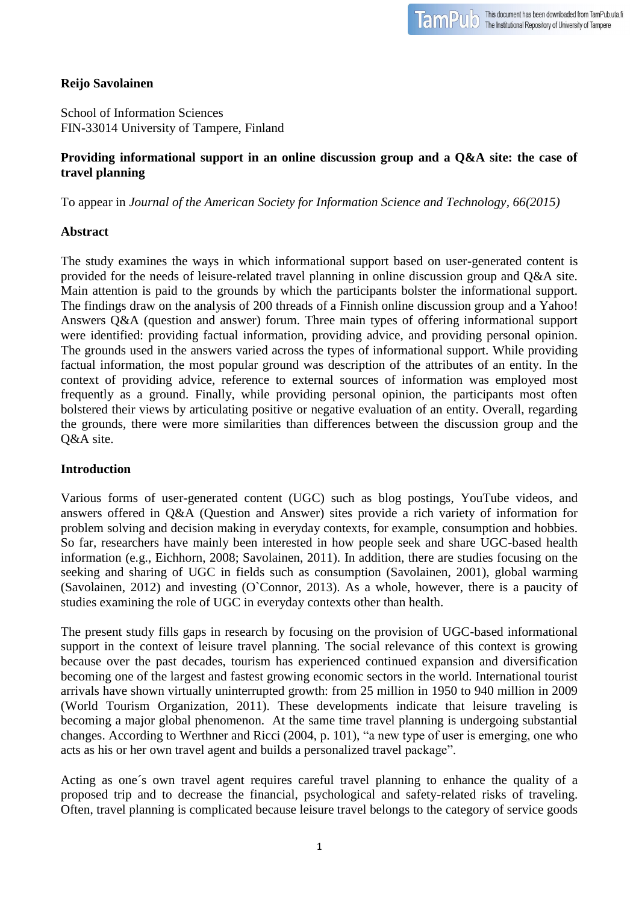# **Reijo Savolainen**

School of Information Sciences FIN-33014 University of Tampere, Finland

## **Providing informational support in an online discussion group and a Q&A site: the case of travel planning**

To appear in *Journal of the American Society for Information Science and Technology, 66(2015)*

## **Abstract**

The study examines the ways in which informational support based on user-generated content is provided for the needs of leisure-related travel planning in online discussion group and Q&A site. Main attention is paid to the grounds by which the participants bolster the informational support. The findings draw on the analysis of 200 threads of a Finnish online discussion group and a Yahoo! Answers Q&A (question and answer) forum. Three main types of offering informational support were identified: providing factual information, providing advice, and providing personal opinion. The grounds used in the answers varied across the types of informational support. While providing factual information, the most popular ground was description of the attributes of an entity. In the context of providing advice, reference to external sources of information was employed most frequently as a ground. Finally, while providing personal opinion, the participants most often bolstered their views by articulating positive or negative evaluation of an entity. Overall, regarding the grounds, there were more similarities than differences between the discussion group and the Q&A site.

## **Introduction**

Various forms of user-generated content (UGC) such as blog postings, YouTube videos, and answers offered in Q&A (Question and Answer) sites provide a rich variety of information for problem solving and decision making in everyday contexts, for example, consumption and hobbies. So far, researchers have mainly been interested in how people seek and share UGC-based health information (e.g., Eichhorn, 2008; Savolainen, 2011). In addition, there are studies focusing on the seeking and sharing of UGC in fields such as consumption (Savolainen, 2001), global warming (Savolainen, 2012) and investing (O`Connor, 2013). As a whole, however, there is a paucity of studies examining the role of UGC in everyday contexts other than health.

The present study fills gaps in research by focusing on the provision of UGC-based informational support in the context of leisure travel planning. The social relevance of this context is growing because over the past decades, tourism has experienced continued expansion and diversification becoming one of the largest and fastest growing economic sectors in the world. International tourist arrivals have shown virtually uninterrupted growth: from 25 million in 1950 to 940 million in 2009 (World Tourism Organization, 2011). These developments indicate that leisure traveling is becoming a major global phenomenon. At the same time travel planning is undergoing substantial changes. According to Werthner and Ricci (2004, p. 101), "a new type of user is emerging, one who acts as his or her own travel agent and builds a personalized travel package".

Acting as one´s own travel agent requires careful travel planning to enhance the quality of a proposed trip and to decrease the financial, psychological and safety-related risks of traveling. Often, travel planning is complicated because leisure travel belongs to the category of service goods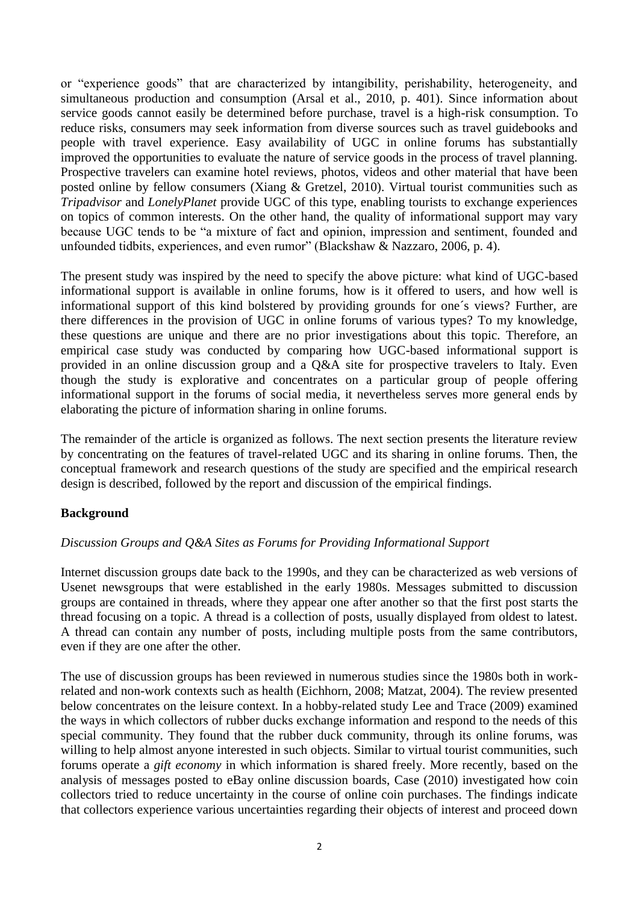or "experience goods" that are characterized by intangibility, perishability, heterogeneity, and simultaneous production and consumption (Arsal et al., 2010, p. 401). Since information about service goods cannot easily be determined before purchase, travel is a high-risk consumption. To reduce risks, consumers may seek information from diverse sources such as travel guidebooks and people with travel experience. Easy availability of UGC in online forums has substantially improved the opportunities to evaluate the nature of service goods in the process of travel planning. Prospective travelers can examine hotel reviews, photos, videos and other material that have been posted online by fellow consumers (Xiang & Gretzel, 2010). Virtual tourist communities such as *Tripadvisor* and *LonelyPlanet* provide UGC of this type, enabling tourists to exchange experiences on topics of common interests. On the other hand, the quality of informational support may vary because UGC tends to be "a mixture of fact and opinion, impression and sentiment, founded and unfounded tidbits, experiences, and even rumor" [\(Blackshaw & Nazzaro, 2006, p. 4\)](http://www.sciencedirect.com/science/article/pii/S0261517709000387#bib4).

The present study was inspired by the need to specify the above picture: what kind of UGC-based informational support is available in online forums, how is it offered to users, and how well is informational support of this kind bolstered by providing grounds for one´s views? Further, are there differences in the provision of UGC in online forums of various types? To my knowledge, these questions are unique and there are no prior investigations about this topic. Therefore, an empirical case study was conducted by comparing how UGC-based informational support is provided in an online discussion group and a Q&A site for prospective travelers to Italy. Even though the study is explorative and concentrates on a particular group of people offering informational support in the forums of social media, it nevertheless serves more general ends by elaborating the picture of information sharing in online forums.

The remainder of the article is organized as follows. The next section presents the literature review by concentrating on the features of travel-related UGC and its sharing in online forums. Then, the conceptual framework and research questions of the study are specified and the empirical research design is described, followed by the report and discussion of the empirical findings.

## **Background**

#### *Discussion Groups and Q&A Sites as Forums for Providing Informational Support*

Internet discussion groups date back to the 1990s, and they can be characterized as web versions of Usenet newsgroups that were established in the early 1980s. Messages submitted to discussion groups are contained in threads, where they appear one after another so that the first post starts the thread focusing on a topic. A thread is a collection of posts, usually displayed from oldest to latest. A thread can contain any number of posts, including multiple posts from the same contributors, even if they are one after the other.

The use of discussion groups has been reviewed in numerous studies since the 1980s both in workrelated and non-work contexts such as health (Eichhorn, 2008; Matzat, 2004). The review presented below concentrates on the leisure context. In a hobby-related study Lee and Trace (2009) examined the ways in which collectors of rubber ducks exchange information and respond to the needs of this special community. They found that the rubber duck community, through its online forums, was willing to help almost anyone interested in such objects. Similar to virtual tourist communities, such forums operate a *gift economy* in which information is shared freely. More recently, based on the analysis of messages posted to eBay online discussion boards, Case (2010) investigated how coin collectors tried to reduce uncertainty in the course of online coin purchases. The findings indicate that collectors experience various uncertainties regarding their objects of interest and proceed down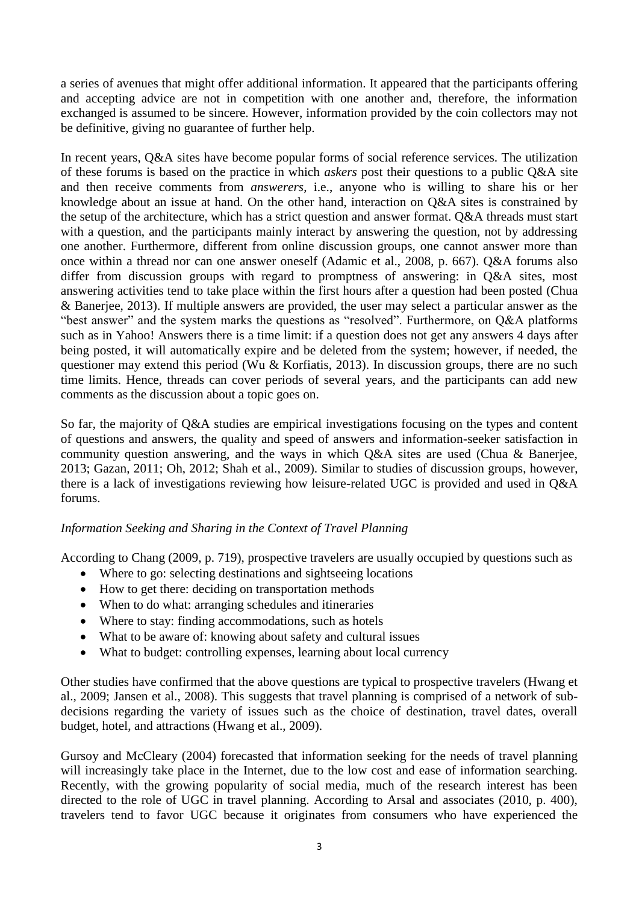a series of avenues that might offer additional information. It appeared that the participants offering and accepting advice are not in competition with one another and, therefore, the information exchanged is assumed to be sincere. However, information provided by the coin collectors may not be definitive, giving no guarantee of further help.

In recent years, Q&A sites have become popular forms of social reference services. The utilization of these forums is based on the practice in which *askers* post their questions to a public Q&A site and then receive comments from *answerers*, i.e., anyone who is willing to share his or her knowledge about an issue at hand. On the other hand, interaction on Q&A sites is constrained by the setup of the architecture, which has a strict question and answer format. Q&A threads must start with a question, and the participants mainly interact by answering the question, not by addressing one another. Furthermore, different from online discussion groups, one cannot answer more than once within a thread nor can one answer oneself (Adamic et al., 2008, p. 667). Q&A forums also differ from discussion groups with regard to promptness of answering: in Q&A sites, most answering activities tend to take place within the first hours after a question had been posted (Chua & Banerjee, 2013). If multiple answers are provided, the user may select a particular answer as the "best answer" and the system marks the questions as "resolved". Furthermore, on Q&A platforms such as in Yahoo! Answers there is a time limit: if a question does not get any answers 4 days after being posted, it will automatically expire and be deleted from the system; however, if needed, the questioner may extend this period (Wu & Korfiatis, 2013). In discussion groups, there are no such time limits. Hence, threads can cover periods of several years, and the participants can add new comments as the discussion about a topic goes on.

So far, the majority of Q&A studies are empirical investigations focusing on the types and content of questions and answers, the quality and speed of answers and information-seeker satisfaction in community question answering, and the ways in which Q&A sites are used (Chua & Banerjee, 2013; Gazan, 2011; Oh, 2012; Shah et al., 2009). Similar to studies of discussion groups, however, there is a lack of investigations reviewing how leisure-related UGC is provided and used in Q&A forums.

## *Information Seeking and Sharing in the Context of Travel Planning*

According to Chang (2009, p. 719), prospective travelers are usually occupied by questions such as

- Where to go: selecting destinations and sightseeing locations
- How to get there: deciding on transportation methods
- When to do what: arranging schedules and itineraries
- Where to stay: finding accommodations, such as hotels
- What to be aware of: knowing about safety and cultural issues
- What to budget: controlling expenses, learning about local currency

Other studies have confirmed that the above questions are typical to prospective travelers (Hwang et al., 2009; Jansen et al., 2008). This suggests that travel planning is comprised of a network of subdecisions regarding the variety of issues such as the choice of destination, travel dates, overall budget, hotel, and attractions (Hwang et al., 2009).

Gursoy and McCleary (2004) forecasted that information seeking for the needs of travel planning will increasingly take place in the Internet, due to the low cost and ease of information searching. Recently, with the growing popularity of social media, much of the research interest has been directed to the role of UGC in travel planning. According to Arsal and associates (2010, p. 400), travelers tend to favor UGC because it originates from consumers who have experienced the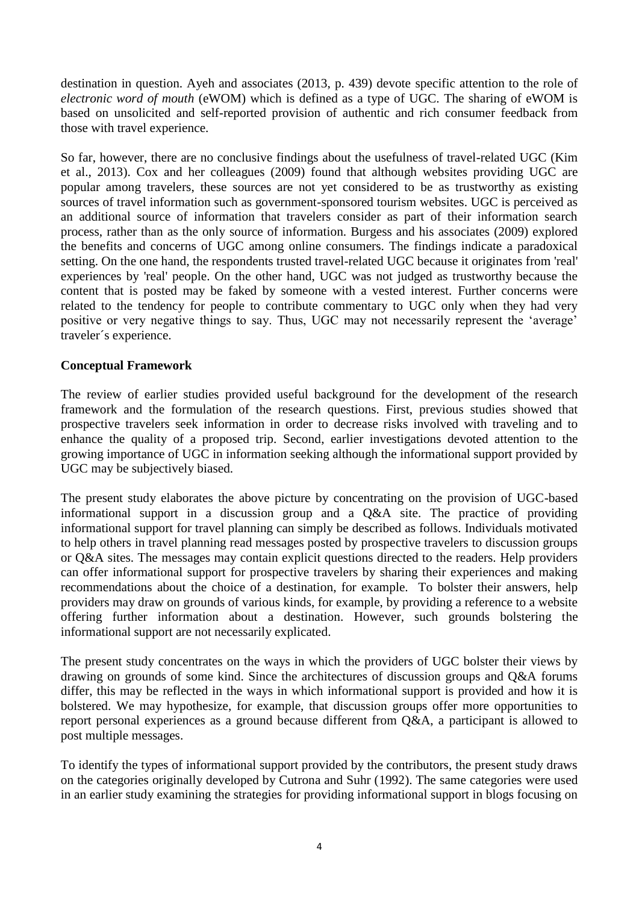destination in question. Ayeh and associates (2013, p. 439) devote specific attention to the role of *electronic word of mouth* (eWOM) which is defined as a type of UGC. The sharing of eWOM is based on unsolicited and self-reported provision of authentic and rich consumer feedback from those with travel experience.

So far, however, there are no conclusive findings about the usefulness of travel-related UGC (Kim et al., 2013). Cox and her colleagues (2009) found that although websites providing UGC are popular among travelers, these sources are not yet considered to be as trustworthy as existing sources of travel information such as government-sponsored tourism websites. UGC is perceived as an additional source of information that travelers consider as part of their information search process, rather than as the only source of information. Burgess and his associates (2009) explored the benefits and concerns of UGC among online consumers. The findings indicate a paradoxical setting. On the one hand, the respondents trusted travel-related UGC because it originates from 'real' experiences by 'real' people. On the other hand, UGC was not judged as trustworthy because the content that is posted may be faked by someone with a vested interest. Further concerns were related to the tendency for people to contribute commentary to UGC only when they had very positive or very negative things to say. Thus, UGC may not necessarily represent the 'average' traveler´s experience.

#### **Conceptual Framework**

The review of earlier studies provided useful background for the development of the research framework and the formulation of the research questions. First, previous studies showed that prospective travelers seek information in order to decrease risks involved with traveling and to enhance the quality of a proposed trip. Second, earlier investigations devoted attention to the growing importance of UGC in information seeking although the informational support provided by UGC may be subjectively biased.

The present study elaborates the above picture by concentrating on the provision of UGC-based informational support in a discussion group and a Q&A site. The practice of providing informational support for travel planning can simply be described as follows. Individuals motivated to help others in travel planning read messages posted by prospective travelers to discussion groups or Q&A sites. The messages may contain explicit questions directed to the readers. Help providers can offer informational support for prospective travelers by sharing their experiences and making recommendations about the choice of a destination, for example. To bolster their answers, help providers may draw on grounds of various kinds, for example, by providing a reference to a website offering further information about a destination. However, such grounds bolstering the informational support are not necessarily explicated.

The present study concentrates on the ways in which the providers of UGC bolster their views by drawing on grounds of some kind. Since the architectures of discussion groups and Q&A forums differ, this may be reflected in the ways in which informational support is provided and how it is bolstered. We may hypothesize, for example, that discussion groups offer more opportunities to report personal experiences as a ground because different from Q&A, a participant is allowed to post multiple messages.

To identify the types of informational support provided by the contributors, the present study draws on the categories originally developed by Cutrona and Suhr [\(1992\)](http://informationr.net/ir/15-4/paper438.html#Cutrona1992). The same categories were used in an earlier study examining the strategies for providing informational support in blogs focusing on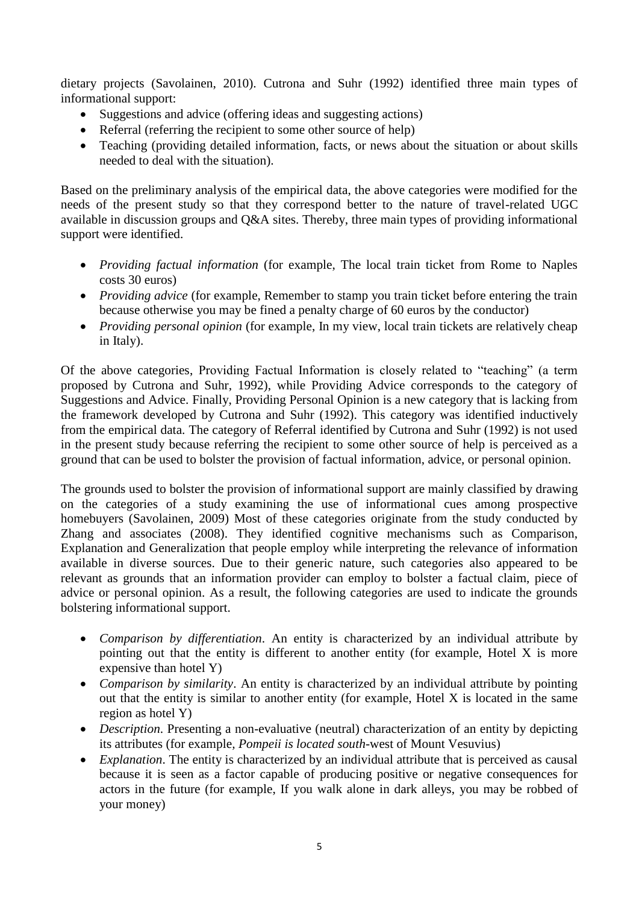dietary projects (Savolainen, 2010). Cutrona and Suhr (1992) identified three main types of informational support:

- Suggestions and advice (offering ideas and suggesting actions)
- Referral (referring the recipient to some other source of help)
- Teaching (providing detailed information, facts, or news about the situation or about skills needed to deal with the situation).

Based on the preliminary analysis of the empirical data, the above categories were modified for the needs of the present study so that they correspond better to the nature of travel-related UGC available in discussion groups and Q&A sites. Thereby, three main types of providing informational support were identified.

- *Providing factual information* (for example, The local train ticket from Rome to Naples costs 30 euros)
- *Providing advice* (for example, Remember to stamp you train ticket before entering the train because otherwise you may be fined a penalty charge of 60 euros by the conductor)
- *Providing personal opinion* (for example, In my view, local train tickets are relatively cheap in Italy).

Of the above categories, Providing Factual Information is closely related to "teaching" (a term proposed by Cutrona and Suhr, 1992), while Providing Advice corresponds to the category of Suggestions and Advice. Finally, Providing Personal Opinion is a new category that is lacking from the framework developed by Cutrona and Suhr (1992). This category was identified inductively from the empirical data. The category of Referral identified by Cutrona and Suhr (1992) is not used in the present study because referring the recipient to some other source of help is perceived as a ground that can be used to bolster the provision of factual information, advice, or personal opinion.

The grounds used to bolster the provision of informational support are mainly classified by drawing on the categories of a study examining the use of informational cues among prospective homebuyers (Savolainen, 2009) Most of these categories originate from the study conducted by Zhang and associates (2008). They identified cognitive mechanisms such as Comparison, Explanation and Generalization that people employ while interpreting the relevance of information available in diverse sources. Due to their generic nature, such categories also appeared to be relevant as grounds that an information provider can employ to bolster a factual claim, piece of advice or personal opinion. As a result, the following categories are used to indicate the grounds bolstering informational support.

- *Comparison by differentiation*. An entity is characterized by an individual attribute by pointing out that the entity is different to another entity (for example, Hotel X is more expensive than hotel Y)
- *Comparison by similarity*. An entity is characterized by an individual attribute by pointing out that the entity is similar to another entity (for example, Hotel X is located in the same region as hotel Y)
- *Description*. Presenting a non-evaluative (neutral) characterization of an entity by depicting its attributes (for example*, Pompeii is located south*-west of Mount Vesuvius)
- *Explanation*. The entity is characterized by an individual attribute that is perceived as causal because it is seen as a factor capable of producing positive or negative consequences for actors in the future (for example, If you walk alone in dark alleys, you may be robbed of your money)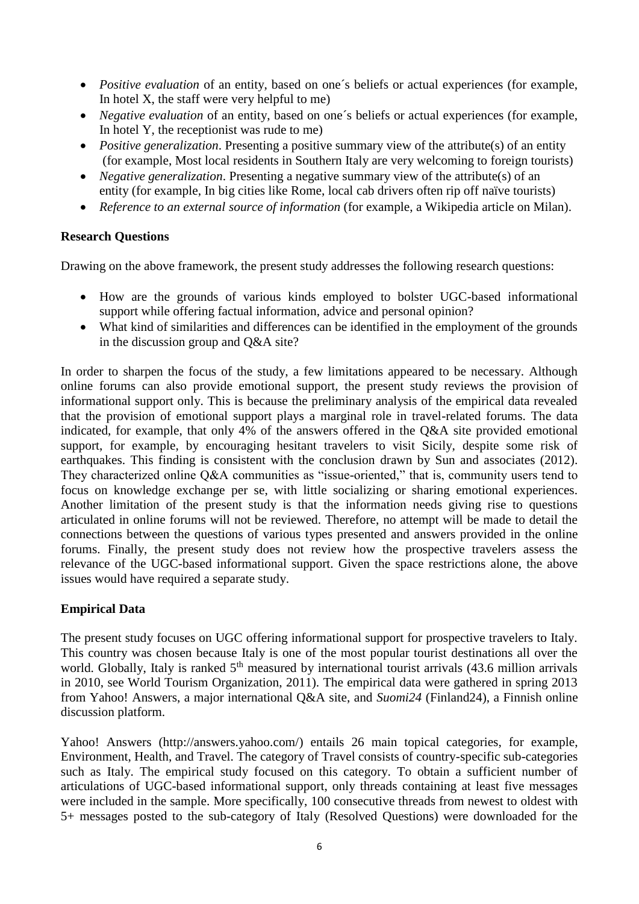- *Positive evaluation* of an entity, based on one´s beliefs or actual experiences (for example, In hotel X, the staff were very helpful to me)
- *Negative evaluation* of an entity, based on one´s beliefs or actual experiences (for example, In hotel Y, the receptionist was rude to me)
- *Positive generalization.* Presenting a positive summary view of the attribute(s) of an entity (for example, Most local residents in Southern Italy are very welcoming to foreign tourists)
- *Negative generalization*. Presenting a negative summary view of the attribute(s) of an entity (for example, In big cities like Rome, local cab drivers often rip off naïve tourists)
- *Reference to an external source of information* (for example, a Wikipedia article on Milan).

#### **Research Questions**

Drawing on the above framework, the present study addresses the following research questions:

- How are the grounds of various kinds employed to bolster UGC-based informational support while offering factual information, advice and personal opinion?
- What kind of similarities and differences can be identified in the employment of the grounds in the discussion group and Q&A site?

In order to sharpen the focus of the study, a few limitations appeared to be necessary. Although online forums can also provide emotional support, the present study reviews the provision of informational support only. This is because the preliminary analysis of the empirical data revealed that the provision of emotional support plays a marginal role in travel-related forums. The data indicated, for example, that only 4% of the answers offered in the Q&A site provided emotional support, for example, by encouraging hesitant travelers to visit Sicily, despite some risk of earthquakes. This finding is consistent with the conclusion drawn by Sun and associates (2012). They characterized online Q&A communities as "issue-oriented," that is, community users tend to focus on knowledge exchange per se, with little socializing or sharing emotional experiences. Another limitation of the present study is that the information needs giving rise to questions articulated in online forums will not be reviewed. Therefore, no attempt will be made to detail the connections between the questions of various types presented and answers provided in the online forums. Finally, the present study does not review how the prospective travelers assess the relevance of the UGC-based informational support. Given the space restrictions alone, the above issues would have required a separate study.

## **Empirical Data**

The present study focuses on UGC offering informational support for prospective travelers to Italy. This country was chosen because Italy is one of the most popular tourist destinations all over the world. Globally, Italy is ranked 5<sup>th</sup> measured by international tourist arrivals (43.6 million arrivals in 2010, see World Tourism Organization, 2011). The empirical data were gathered in spring 2013 from Yahoo! Answers, a major international Q&A site, and *Suomi24* (Finland24), a Finnish online discussion platform.

Yahoo! Answers [\(http://answers.yahoo.com/\)](http://answers.yahoo.com/) entails 26 main topical categories, for example, Environment, Health, and Travel. The category of Travel consists of country-specific sub-categories such as Italy. The empirical study focused on this category. To obtain a sufficient number of articulations of UGC-based informational support, only threads containing at least five messages were included in the sample. More specifically, 100 consecutive threads from newest to oldest with 5+ messages posted to the sub-category of Italy (Resolved Questions) were downloaded for the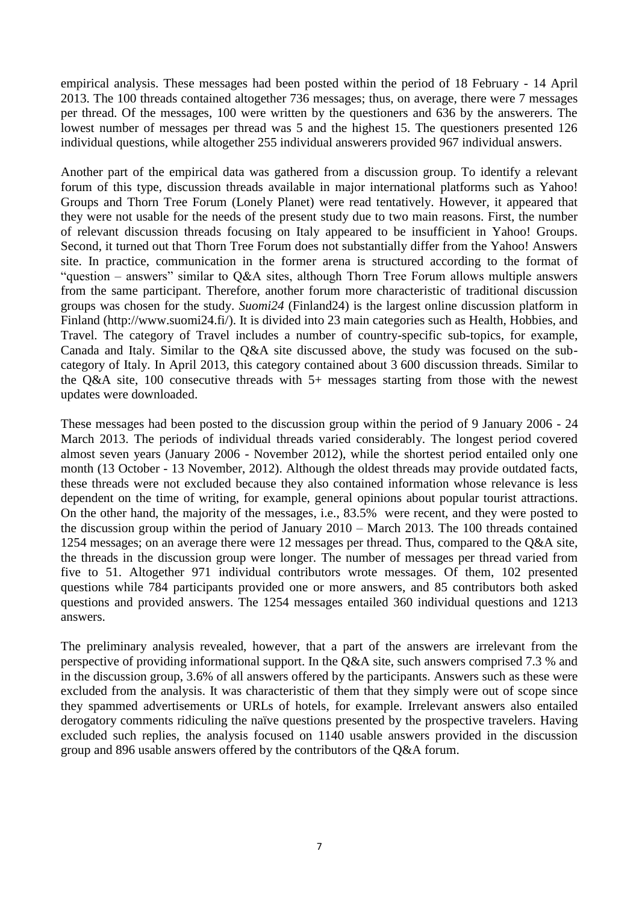empirical analysis. These messages had been posted within the period of 18 February - 14 April 2013. The 100 threads contained altogether 736 messages; thus, on average, there were 7 messages per thread. Of the messages, 100 were written by the questioners and 636 by the answerers. The lowest number of messages per thread was 5 and the highest 15. The questioners presented 126 individual questions, while altogether 255 individual answerers provided 967 individual answers.

Another part of the empirical data was gathered from a discussion group. To identify a relevant forum of this type, discussion threads available in major international platforms such as Yahoo! Groups and Thorn Tree Forum (Lonely Planet) were read tentatively. However, it appeared that they were not usable for the needs of the present study due to two main reasons. First, the number of relevant discussion threads focusing on Italy appeared to be insufficient in Yahoo! Groups. Second, it turned out that Thorn Tree Forum does not substantially differ from the Yahoo! Answers site. In practice, communication in the former arena is structured according to the format of "question – answers" similar to Q&A sites, although Thorn Tree Forum allows multiple answers from the same participant. Therefore, another forum more characteristic of traditional discussion groups was chosen for the study. *Suomi24* (Finland24) is the largest online discussion platform in Finland [\(http://www.suomi24.fi/\)](http://www.suomi24.fi/). It is divided into 23 main categories such as Health, Hobbies, and Travel. The category of Travel includes a number of country-specific sub-topics, for example, Canada and Italy. Similar to the Q&A site discussed above, the study was focused on the subcategory of Italy. In April 2013, this category contained about 3 600 discussion threads. Similar to the Q&A site, 100 consecutive threads with 5+ messages starting from those with the newest updates were downloaded.

These messages had been posted to the discussion group within the period of 9 January 2006 - 24 March 2013. The periods of individual threads varied considerably. The longest period covered almost seven years (January 2006 - November 2012), while the shortest period entailed only one month (13 October - 13 November, 2012). Although the oldest threads may provide outdated facts, these threads were not excluded because they also contained information whose relevance is less dependent on the time of writing, for example, general opinions about popular tourist attractions. On the other hand, the majority of the messages, i.e., 83.5% were recent, and they were posted to the discussion group within the period of January 2010 – March 2013. The 100 threads contained 1254 messages; on an average there were 12 messages per thread. Thus, compared to the Q&A site, the threads in the discussion group were longer. The number of messages per thread varied from five to 51. Altogether 971 individual contributors wrote messages. Of them, 102 presented questions while 784 participants provided one or more answers, and 85 contributors both asked questions and provided answers. The 1254 messages entailed 360 individual questions and 1213 answers.

The preliminary analysis revealed, however, that a part of the answers are irrelevant from the perspective of providing informational support. In the Q&A site, such answers comprised 7.3 % and in the discussion group, 3.6% of all answers offered by the participants. Answers such as these were excluded from the analysis. It was characteristic of them that they simply were out of scope since they spammed advertisements or URLs of hotels, for example. Irrelevant answers also entailed derogatory comments ridiculing the naïve questions presented by the prospective travelers. Having excluded such replies, the analysis focused on 1140 usable answers provided in the discussion group and 896 usable answers offered by the contributors of the Q&A forum.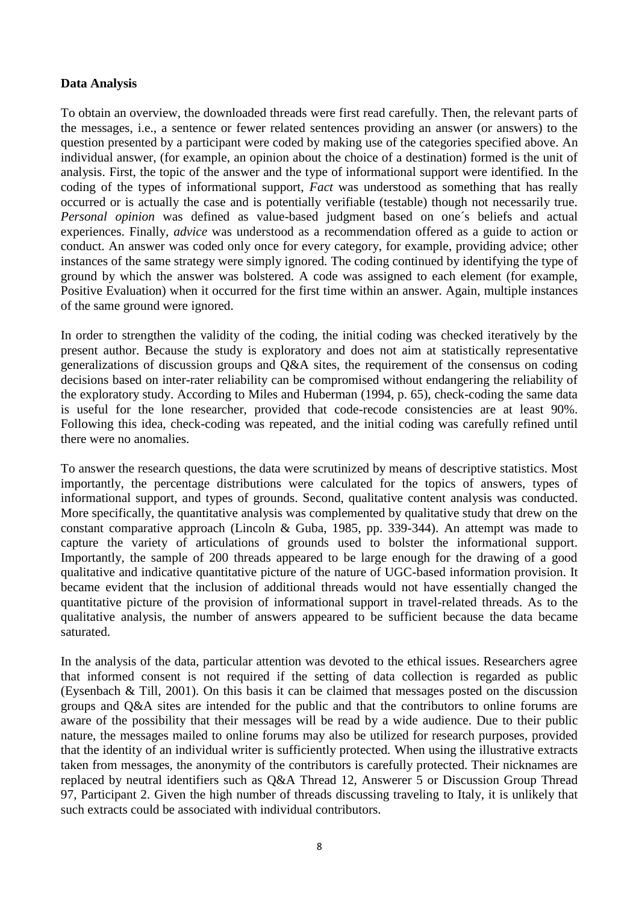### **Data Analysis**

To obtain an overview, the downloaded threads were first read carefully. Then, the relevant parts of the messages, i.e., a sentence or fewer related sentences providing an answer (or answers) to the question presented by a participant were coded by making use of the categories specified above. An individual answer, (for example, an opinion about the choice of a destination) formed is the unit of analysis. First, the topic of the answer and the type of informational support were identified. In the coding of the types of informational support, *Fact* was understood as something that has really occurred or is actually the case and is potentially verifiable (testable) though not necessarily true. *Personal opinion* was defined as value-based judgment based on one´s beliefs and actual experiences. Finally*, advice* was understood as a recommendation offered as a guide to action or conduct. An answer was coded only once for every category, for example, providing advice; other instances of the same strategy were simply ignored. The coding continued by identifying the type of ground by which the answer was bolstered. A code was assigned to each element (for example, Positive Evaluation) when it occurred for the first time within an answer. Again, multiple instances of the same ground were ignored.

In order to strengthen the validity of the coding, the initial coding was checked iteratively by the present author. Because the study is exploratory and does not aim at statistically representative generalizations of discussion groups and Q&A sites, the requirement of the consensus on coding decisions based on inter-rater reliability can be compromised without endangering the reliability of the exploratory study. According to Miles and Huberman (1994, p. 65), check-coding the same data is useful for the lone researcher, provided that code-recode consistencies are at least 90%. Following this idea, check-coding was repeated, and the initial coding was carefully refined until there were no anomalies.

To answer the research questions, the data were scrutinized by means of descriptive statistics. Most importantly, the percentage distributions were calculated for the topics of answers, types of informational support, and types of grounds. Second, qualitative content analysis was conducted. More specifically, the quantitative analysis was complemented by qualitative study that drew on the constant comparative approach (Lincoln & Guba, 1985, pp. 339-344). An attempt was made to capture the variety of articulations of grounds used to bolster the informational support. Importantly, the sample of 200 threads appeared to be large enough for the drawing of a good qualitative and indicative quantitative picture of the nature of UGC-based information provision. It became evident that the inclusion of additional threads would not have essentially changed the quantitative picture of the provision of informational support in travel-related threads. As to the qualitative analysis, the number of answers appeared to be sufficient because the data became saturated.

In the analysis of the data, particular attention was devoted to the ethical issues. Researchers agree that informed consent is not required if the setting of data collection is regarded as public (Eysenbach & Till, 2001). On this basis it can be claimed that messages posted on the discussion groups and Q&A sites are intended for the public and that the contributors to online forums are aware of the possibility that their messages will be read by a wide audience. Due to their public nature, the messages mailed to online forums may also be utilized for research purposes, provided that the identity of an individual writer is sufficiently protected. When using the illustrative extracts taken from messages, the anonymity of the contributors is carefully protected. Their nicknames are replaced by neutral identifiers such as Q&A Thread 12, Answerer 5 or Discussion Group Thread 97, Participant 2. Given the high number of threads discussing traveling to Italy, it is unlikely that such extracts could be associated with individual contributors.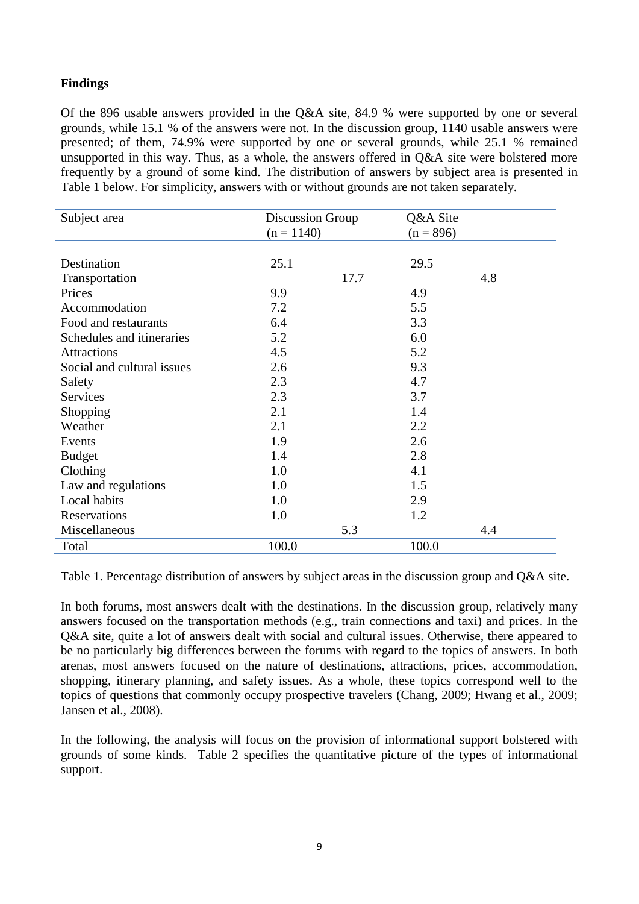# **Findings**

Of the 896 usable answers provided in the Q&A site, 84.9 % were supported by one or several grounds, while 15.1 % of the answers were not. In the discussion group, 1140 usable answers were presented; of them, 74.9% were supported by one or several grounds, while 25.1 % remained unsupported in this way. Thus, as a whole, the answers offered in Q&A site were bolstered more frequently by a ground of some kind. The distribution of answers by subject area is presented in Table 1 below. For simplicity, answers with or without grounds are not taken separately.

|              |      | Q&A Site                |     |
|--------------|------|-------------------------|-----|
| $(n = 1140)$ |      | $(n = 896)$             |     |
|              |      |                         |     |
| 25.1         |      | 29.5                    |     |
|              | 17.7 |                         | 4.8 |
| 9.9          |      | 4.9                     |     |
| 7.2          |      | 5.5                     |     |
| 6.4          |      | 3.3                     |     |
| 5.2          |      | 6.0                     |     |
| 4.5          |      | 5.2                     |     |
| 2.6          |      | 9.3                     |     |
| 2.3          |      | 4.7                     |     |
| 2.3          |      | 3.7                     |     |
| 2.1          |      | 1.4                     |     |
| 2.1          |      | 2.2                     |     |
| 1.9          |      | 2.6                     |     |
| 1.4          |      | 2.8                     |     |
| 1.0          |      | 4.1                     |     |
| 1.0          |      | 1.5                     |     |
| 1.0          |      | 2.9                     |     |
| 1.0          |      | 1.2                     |     |
|              | 5.3  |                         | 4.4 |
| 100.0        |      | 100.0                   |     |
|              |      | <b>Discussion Group</b> |     |

Table 1. Percentage distribution of answers by subject areas in the discussion group and Q&A site.

In both forums, most answers dealt with the destinations. In the discussion group, relatively many answers focused on the transportation methods (e.g., train connections and taxi) and prices. In the Q&A site, quite a lot of answers dealt with social and cultural issues. Otherwise, there appeared to be no particularly big differences between the forums with regard to the topics of answers. In both arenas, most answers focused on the nature of destinations, attractions, prices, accommodation, shopping, itinerary planning, and safety issues. As a whole, these topics correspond well to the topics of questions that commonly occupy prospective travelers (Chang, 2009; Hwang et al., 2009; Jansen et al., 2008).

In the following, the analysis will focus on the provision of informational support bolstered with grounds of some kinds. Table 2 specifies the quantitative picture of the types of informational support.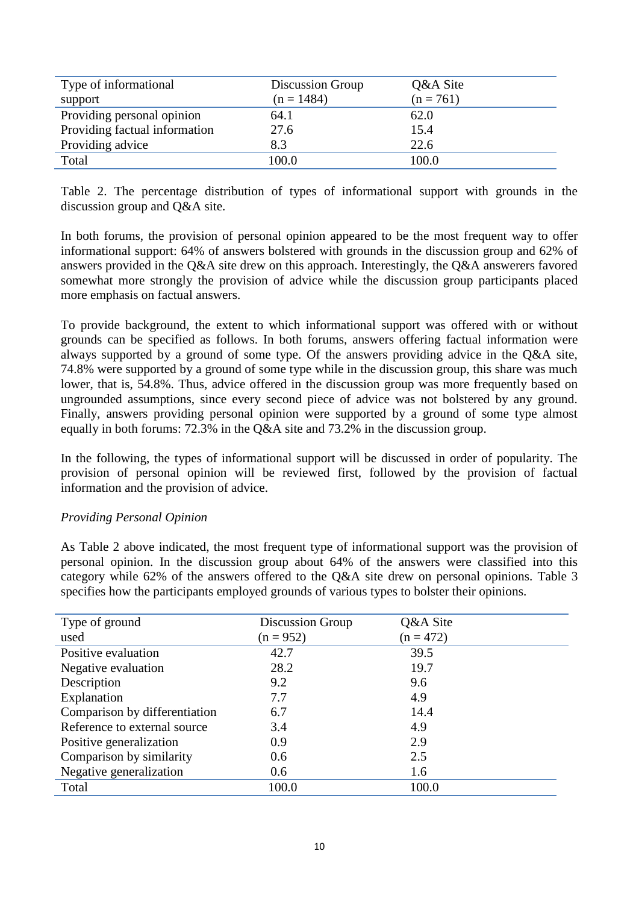| Type of informational<br>support | Discussion Group<br>$(n = 1484)$ | Q&A Site<br>$(n = 761)$ |
|----------------------------------|----------------------------------|-------------------------|
| Providing personal opinion       | 64.1                             | 62.0                    |
| Providing factual information    | 27.6                             | 15.4                    |
| Providing advice                 | 8.3                              | 22.6                    |
| Total                            | 100.0                            | 100.0                   |

Table 2. The percentage distribution of types of informational support with grounds in the discussion group and Q&A site.

In both forums, the provision of personal opinion appeared to be the most frequent way to offer informational support: 64% of answers bolstered with grounds in the discussion group and 62% of answers provided in the Q&A site drew on this approach. Interestingly, the Q&A answerers favored somewhat more strongly the provision of advice while the discussion group participants placed more emphasis on factual answers.

To provide background, the extent to which informational support was offered with or without grounds can be specified as follows. In both forums, answers offering factual information were always supported by a ground of some type. Of the answers providing advice in the Q&A site, 74.8% were supported by a ground of some type while in the discussion group, this share was much lower, that is, 54.8%. Thus, advice offered in the discussion group was more frequently based on ungrounded assumptions, since every second piece of advice was not bolstered by any ground. Finally, answers providing personal opinion were supported by a ground of some type almost equally in both forums: 72.3% in the Q&A site and 73.2% in the discussion group.

In the following, the types of informational support will be discussed in order of popularity. The provision of personal opinion will be reviewed first, followed by the provision of factual information and the provision of advice.

#### *Providing Personal Opinion*

As Table 2 above indicated, the most frequent type of informational support was the provision of personal opinion. In the discussion group about 64% of the answers were classified into this category while 62% of the answers offered to the Q&A site drew on personal opinions. Table 3 specifies how the participants employed grounds of various types to bolster their opinions.

| Type of ground                | Discussion Group | Q&A Site    |
|-------------------------------|------------------|-------------|
| used                          | $(n = 952)$      | $(n = 472)$ |
| Positive evaluation           | 42.7             | 39.5        |
| Negative evaluation           | 28.2             | 19.7        |
| Description                   | 9.2              | 9.6         |
| Explanation                   | 7.7              | 4.9         |
| Comparison by differentiation | 6.7              | 14.4        |
| Reference to external source  | 3.4              | 4.9         |
| Positive generalization       | 0.9              | 2.9         |
| Comparison by similarity      | 0.6              | 2.5         |
| Negative generalization       | 0.6              | 1.6         |
| Total                         | 100.0            | 100.0       |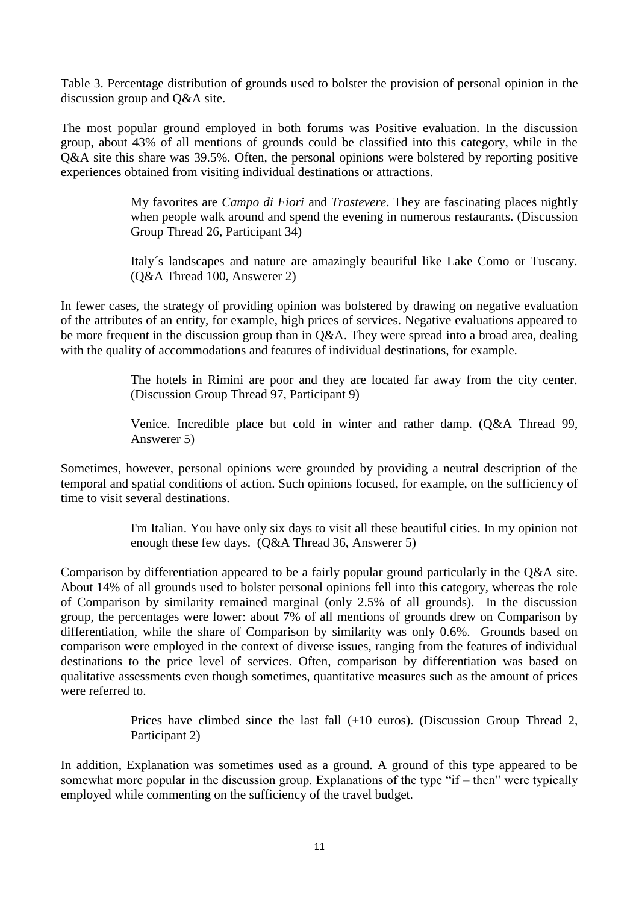Table 3. Percentage distribution of grounds used to bolster the provision of personal opinion in the discussion group and Q&A site.

The most popular ground employed in both forums was Positive evaluation. In the discussion group, about 43% of all mentions of grounds could be classified into this category, while in the Q&A site this share was 39.5%. Often, the personal opinions were bolstered by reporting positive experiences obtained from visiting individual destinations or attractions.

> My favorites are *Campo di Fiori* and *Trastevere*. They are fascinating places nightly when people walk around and spend the evening in numerous restaurants. (Discussion Group Thread 26, Participant 34)

> Italy´s landscapes and nature are amazingly beautiful like Lake Como or Tuscany. (Q&A Thread 100, Answerer 2)

In fewer cases, the strategy of providing opinion was bolstered by drawing on negative evaluation of the attributes of an entity, for example, high prices of services. Negative evaluations appeared to be more frequent in the discussion group than in Q&A. They were spread into a broad area, dealing with the quality of accommodations and features of individual destinations, for example.

> The hotels in Rimini are poor and they are located far away from the city center. (Discussion Group Thread 97, Participant 9)

> Venice. Incredible place but cold in winter and rather damp. (Q&A Thread 99, Answerer 5)

Sometimes, however, personal opinions were grounded by providing a neutral description of the temporal and spatial conditions of action. Such opinions focused, for example, on the sufficiency of time to visit several destinations.

> I'm Italian. You have only six days to visit all these beautiful cities. In my opinion not enough these few days. (Q&A Thread 36, Answerer 5)

Comparison by differentiation appeared to be a fairly popular ground particularly in the Q&A site. About 14% of all grounds used to bolster personal opinions fell into this category, whereas the role of Comparison by similarity remained marginal (only 2.5% of all grounds). In the discussion group, the percentages were lower: about 7% of all mentions of grounds drew on Comparison by differentiation, while the share of Comparison by similarity was only 0.6%. Grounds based on comparison were employed in the context of diverse issues, ranging from the features of individual destinations to the price level of services. Often, comparison by differentiation was based on qualitative assessments even though sometimes, quantitative measures such as the amount of prices were referred to.

> Prices have climbed since the last fall (+10 euros). (Discussion Group Thread 2, Participant 2)

In addition, Explanation was sometimes used as a ground. A ground of this type appeared to be somewhat more popular in the discussion group. Explanations of the type "if – then" were typically employed while commenting on the sufficiency of the travel budget.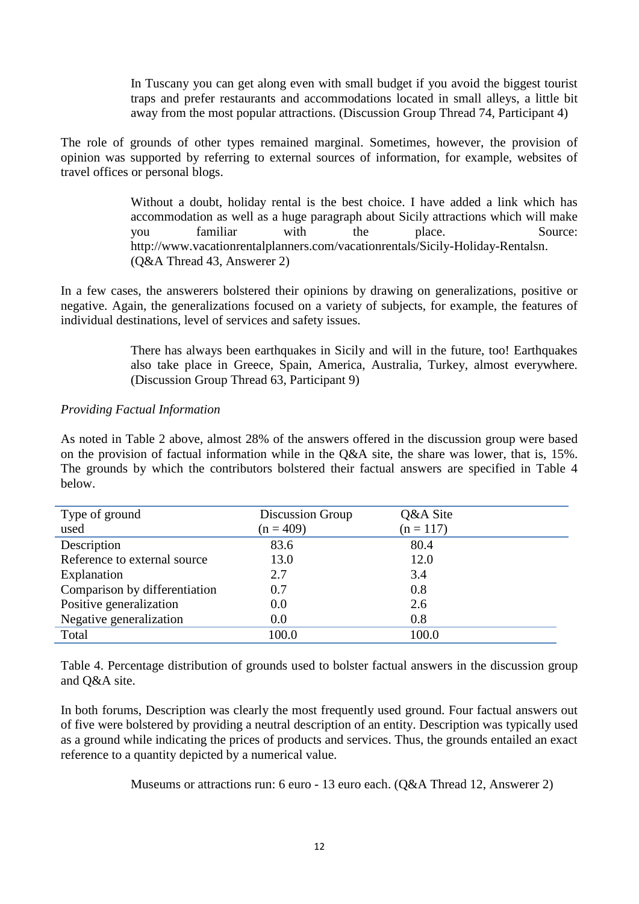In Tuscany you can get along even with small budget if you avoid the biggest tourist traps and prefer restaurants and accommodations located in small alleys, a little bit away from the most popular attractions. (Discussion Group Thread 74, Participant 4)

The role of grounds of other types remained marginal. Sometimes, however, the provision of opinion was supported by referring to external sources of information, for example, websites of travel offices or personal blogs.

> Without a doubt, holiday rental is the best choice. I have added a link which has accommodation as well as a huge paragraph about Sicily attractions which will make you familiar with the place. Source: [http://www.vacationrentalplanners.com/vacationrentals/Sicily-Holiday-Rentalsn.](http://www.vacationrentalplanners.com/vacationrentals/Sicily-Holiday-Rentalsn) (Q&A Thread 43, Answerer 2)

In a few cases, the answerers bolstered their opinions by drawing on generalizations, positive or negative. Again, the generalizations focused on a variety of subjects, for example, the features of individual destinations, level of services and safety issues.

> There has always been earthquakes in Sicily and will in the future, too! Earthquakes also take place in Greece, Spain, America, Australia, Turkey, almost everywhere. (Discussion Group Thread 63, Participant 9)

#### *Providing Factual Information*

As noted in Table 2 above, almost 28% of the answers offered in the discussion group were based on the provision of factual information while in the Q&A site, the share was lower, that is, 15%. The grounds by which the contributors bolstered their factual answers are specified in Table 4 below.

| Type of ground                | Discussion Group | Q&A Site    |
|-------------------------------|------------------|-------------|
| used                          | $(n = 409)$      | $(n = 117)$ |
| Description                   | 83.6             | 80.4        |
| Reference to external source  | 13.0             | 12.0        |
| Explanation                   | 2.7              | 3.4         |
| Comparison by differentiation | 0.7              | 0.8         |
| Positive generalization       | 0.0              | 2.6         |
| Negative generalization       | 0.0              | 0.8         |
| Total                         | 100.0            | 100.0       |

Table 4. Percentage distribution of grounds used to bolster factual answers in the discussion group and Q&A site.

In both forums, Description was clearly the most frequently used ground. Four factual answers out of five were bolstered by providing a neutral description of an entity. Description was typically used as a ground while indicating the prices of products and services. Thus, the grounds entailed an exact reference to a quantity depicted by a numerical value.

Museums or attractions run: 6 euro - 13 euro each. (Q&A Thread 12, Answerer 2)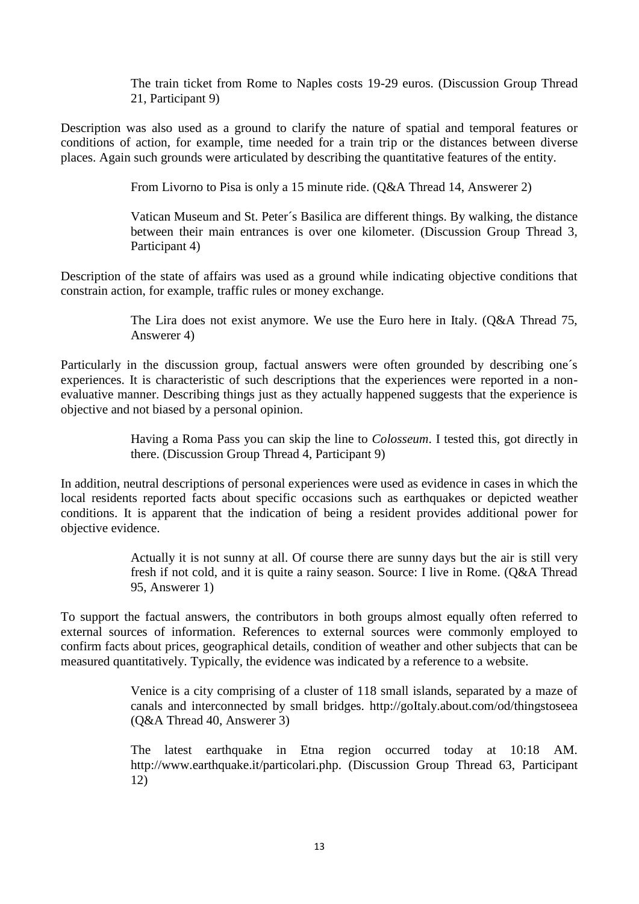The train ticket from Rome to Naples costs 19-29 euros. (Discussion Group Thread 21, Participant 9)

Description was also used as a ground to clarify the nature of spatial and temporal features or conditions of action, for example, time needed for a train trip or the distances between diverse places. Again such grounds were articulated by describing the quantitative features of the entity.

From Livorno to Pisa is only a 15 minute ride. (Q&A Thread 14, Answerer 2)

Vatican Museum and St. Peter´s Basilica are different things. By walking, the distance between their main entrances is over one kilometer. (Discussion Group Thread 3, Participant 4)

Description of the state of affairs was used as a ground while indicating objective conditions that constrain action, for example, traffic rules or money exchange.

> The Lira does not exist anymore. We use the Euro here in Italy. (Q&A Thread 75, Answerer 4)

Particularly in the discussion group, factual answers were often grounded by describing one's experiences. It is characteristic of such descriptions that the experiences were reported in a nonevaluative manner. Describing things just as they actually happened suggests that the experience is objective and not biased by a personal opinion.

> Having a Roma Pass you can skip the line to *Colosseum*. I tested this, got directly in there. (Discussion Group Thread 4, Participant 9)

In addition, neutral descriptions of personal experiences were used as evidence in cases in which the local residents reported facts about specific occasions such as earthquakes or depicted weather conditions. It is apparent that the indication of being a resident provides additional power for objective evidence.

> Actually it is not sunny at all. Of course there are sunny days but the air is still very fresh if not cold, and it is quite a rainy season. Source: I live in Rome. (Q&A Thread 95, Answerer 1)

To support the factual answers, the contributors in both groups almost equally often referred to external sources of information. References to external sources were commonly employed to confirm facts about prices, geographical details, condition of weather and other subjects that can be measured quantitatively. Typically, the evidence was indicated by a reference to a website.

> Venice is a city comprising of a cluster of 118 small islands, separated by a maze of canals and interconnected by small bridges. [http://goItaly.about.com/od/thingstoseea](http://goitaly.about.com/od/thingstoseeanddo/tp/venice-bridges.htm) (Q&A Thread 40, Answerer 3)

> The latest earthquake in Etna region occurred today at 10:18 AM. [http://www.earthquake.it/particolari.php.](http://www.earthquake.it/particolari.php) (Discussion Group Thread 63, Participant 12)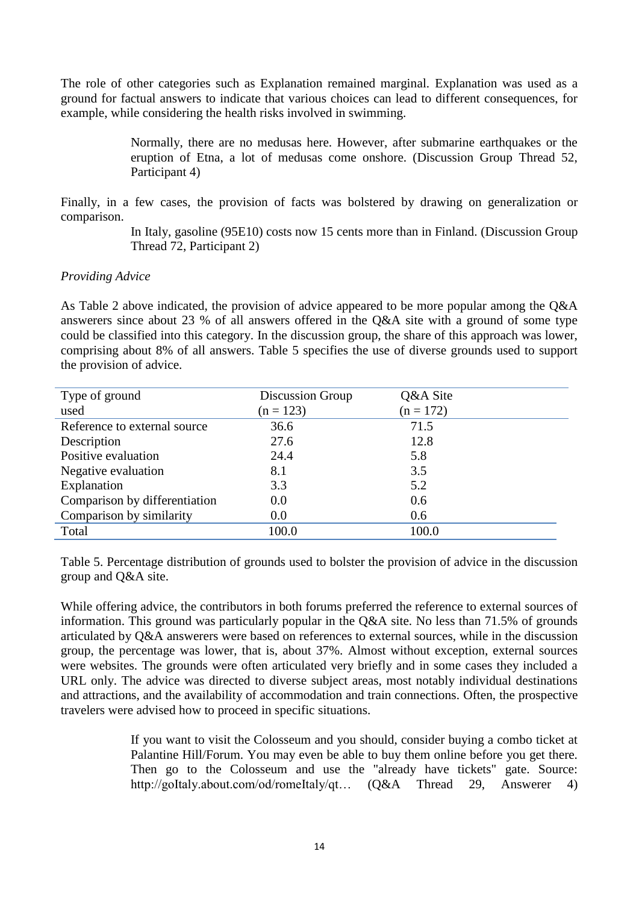The role of other categories such as Explanation remained marginal. Explanation was used as a ground for factual answers to indicate that various choices can lead to different consequences, for example, while considering the health risks involved in swimming.

> Normally, there are no medusas here. However, after submarine earthquakes or the eruption of Etna, a lot of medusas come onshore. (Discussion Group Thread 52, Participant 4)

Finally, in a few cases, the provision of facts was bolstered by drawing on generalization or comparison.

> In Italy, gasoline (95E10) costs now 15 cents more than in Finland. (Discussion Group Thread 72, Participant 2)

#### *Providing Advice*

As Table 2 above indicated, the provision of advice appeared to be more popular among the Q&A answerers since about 23 % of all answers offered in the Q&A site with a ground of some type could be classified into this category. In the discussion group, the share of this approach was lower, comprising about 8% of all answers. Table 5 specifies the use of diverse grounds used to support the provision of advice.

| Type of ground                | Discussion Group | Q&A Site    |
|-------------------------------|------------------|-------------|
| used                          | $(n = 123)$      | $(n = 172)$ |
| Reference to external source  | 36.6             | 71.5        |
| Description                   | 27.6             | 12.8        |
| Positive evaluation           | 24.4             | 5.8         |
| Negative evaluation           | 8.1              | 3.5         |
| Explanation                   | 3.3              | 5.2         |
| Comparison by differentiation | 0.0              | 0.6         |
| Comparison by similarity      | 0.0              | 0.6         |
| Total                         | 100.0            | 100.0       |

Table 5. Percentage distribution of grounds used to bolster the provision of advice in the discussion group and Q&A site.

While offering advice, the contributors in both forums preferred the reference to external sources of information. This ground was particularly popular in the Q&A site. No less than 71.5% of grounds articulated by Q&A answerers were based on references to external sources, while in the discussion group, the percentage was lower, that is, about 37%. Almost without exception, external sources were websites. The grounds were often articulated very briefly and in some cases they included a URL only. The advice was directed to diverse subject areas, most notably individual destinations and attractions, and the availability of accommodation and train connections. Often, the prospective travelers were advised how to proceed in specific situations.

> If you want to visit the Colosseum and you should, consider buying a combo ticket at Palantine Hill/Forum. You may even be able to buy them online before you get there. Then go to the Colosseum and use the "already have tickets" gate. Source: [http://goItaly.about.com/od/romeItaly/qt…](http://goitaly.about.com/od/romeitaly/qt/colosseumticket.htm) (Q&A Thread 29, Answerer 4)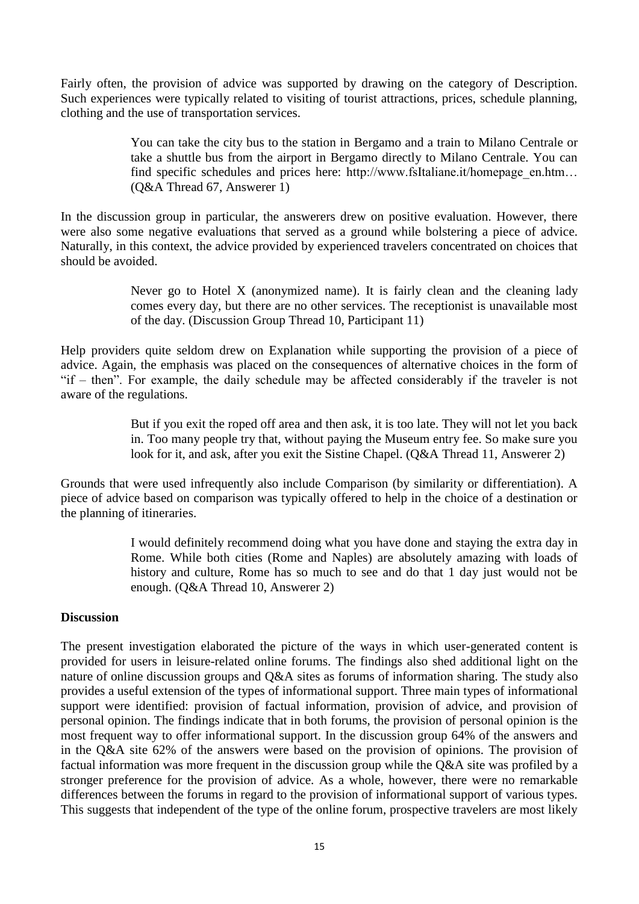Fairly often, the provision of advice was supported by drawing on the category of Description. Such experiences were typically related to visiting of tourist attractions, prices, schedule planning, clothing and the use of transportation services.

> You can take the city bus to the station in Bergamo and a train to Milano Centrale or take a shuttle bus from the airport in Bergamo directly to Milano Centrale. You can find specific schedules and prices here: [http://www.fsItaliane.it/homepage\\_en.htm…](http://www.fsitaliane.it/homepage_en.html) (Q&A Thread 67, Answerer 1)

In the discussion group in particular, the answerers drew on positive evaluation. However, there were also some negative evaluations that served as a ground while bolstering a piece of advice. Naturally, in this context, the advice provided by experienced travelers concentrated on choices that should be avoided.

> Never go to Hotel X (anonymized name). It is fairly clean and the cleaning lady comes every day, but there are no other services. The receptionist is unavailable most of the day. (Discussion Group Thread 10, Participant 11)

Help providers quite seldom drew on Explanation while supporting the provision of a piece of advice. Again, the emphasis was placed on the consequences of alternative choices in the form of "if – then". For example, the daily schedule may be affected considerably if the traveler is not aware of the regulations.

> But if you exit the roped off area and then ask, it is too late. They will not let you back in. Too many people try that, without paying the Museum entry fee. So make sure you look for it, and ask, after you exit the Sistine Chapel. (Q&A Thread 11, Answerer 2)

Grounds that were used infrequently also include Comparison (by similarity or differentiation). A piece of advice based on comparison was typically offered to help in the choice of a destination or the planning of itineraries.

> I would definitely recommend doing what you have done and staying the extra day in Rome. While both cities (Rome and Naples) are absolutely amazing with loads of history and culture, Rome has so much to see and do that 1 day just would not be enough. (Q&A Thread 10, Answerer 2)

#### **Discussion**

The present investigation elaborated the picture of the ways in which user-generated content is provided for users in leisure-related online forums. The findings also shed additional light on the nature of online discussion groups and Q&A sites as forums of information sharing. The study also provides a useful extension of the types of informational support. Three main types of informational support were identified: provision of factual information, provision of advice, and provision of personal opinion. The findings indicate that in both forums, the provision of personal opinion is the most frequent way to offer informational support. In the discussion group 64% of the answers and in the Q&A site 62% of the answers were based on the provision of opinions. The provision of factual information was more frequent in the discussion group while the Q&A site was profiled by a stronger preference for the provision of advice. As a whole, however, there were no remarkable differences between the forums in regard to the provision of informational support of various types. This suggests that independent of the type of the online forum, prospective travelers are most likely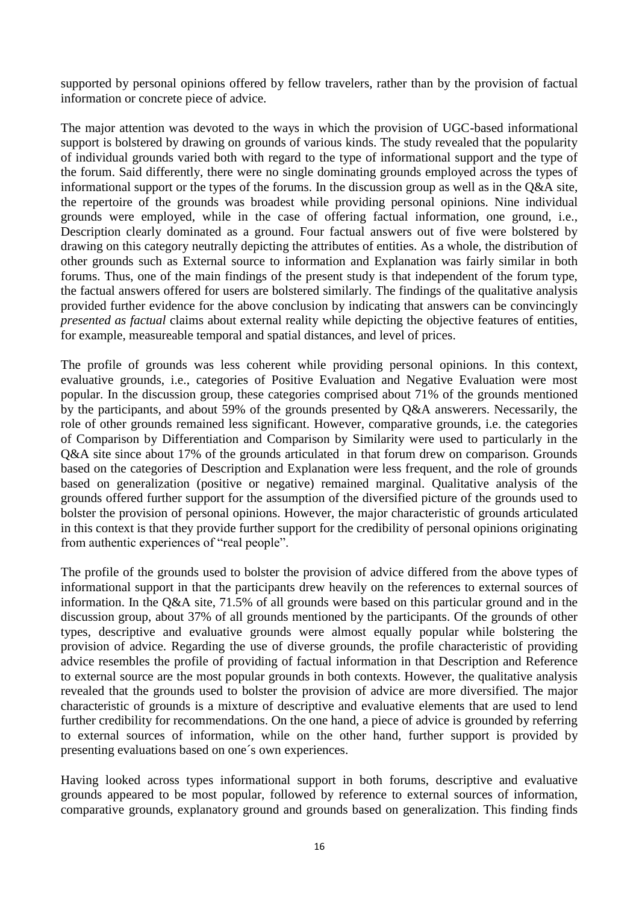supported by personal opinions offered by fellow travelers, rather than by the provision of factual information or concrete piece of advice.

The major attention was devoted to the ways in which the provision of UGC-based informational support is bolstered by drawing on grounds of various kinds. The study revealed that the popularity of individual grounds varied both with regard to the type of informational support and the type of the forum. Said differently, there were no single dominating grounds employed across the types of informational support or the types of the forums. In the discussion group as well as in the Q&A site, the repertoire of the grounds was broadest while providing personal opinions. Nine individual grounds were employed, while in the case of offering factual information, one ground, i.e., Description clearly dominated as a ground. Four factual answers out of five were bolstered by drawing on this category neutrally depicting the attributes of entities. As a whole, the distribution of other grounds such as External source to information and Explanation was fairly similar in both forums. Thus, one of the main findings of the present study is that independent of the forum type, the factual answers offered for users are bolstered similarly. The findings of the qualitative analysis provided further evidence for the above conclusion by indicating that answers can be convincingly *presented as factual* claims about external reality while depicting the objective features of entities, for example, measureable temporal and spatial distances, and level of prices.

The profile of grounds was less coherent while providing personal opinions. In this context, evaluative grounds, i.e., categories of Positive Evaluation and Negative Evaluation were most popular. In the discussion group, these categories comprised about 71% of the grounds mentioned by the participants, and about 59% of the grounds presented by Q&A answerers. Necessarily, the role of other grounds remained less significant. However, comparative grounds, i.e. the categories of Comparison by Differentiation and Comparison by Similarity were used to particularly in the Q&A site since about 17% of the grounds articulated in that forum drew on comparison. Grounds based on the categories of Description and Explanation were less frequent, and the role of grounds based on generalization (positive or negative) remained marginal. Qualitative analysis of the grounds offered further support for the assumption of the diversified picture of the grounds used to bolster the provision of personal opinions. However, the major characteristic of grounds articulated in this context is that they provide further support for the credibility of personal opinions originating from authentic experiences of "real people".

The profile of the grounds used to bolster the provision of advice differed from the above types of informational support in that the participants drew heavily on the references to external sources of information. In the Q&A site, 71.5% of all grounds were based on this particular ground and in the discussion group, about 37% of all grounds mentioned by the participants. Of the grounds of other types, descriptive and evaluative grounds were almost equally popular while bolstering the provision of advice. Regarding the use of diverse grounds, the profile characteristic of providing advice resembles the profile of providing of factual information in that Description and Reference to external source are the most popular grounds in both contexts. However, the qualitative analysis revealed that the grounds used to bolster the provision of advice are more diversified. The major characteristic of grounds is a mixture of descriptive and evaluative elements that are used to lend further credibility for recommendations. On the one hand, a piece of advice is grounded by referring to external sources of information, while on the other hand, further support is provided by presenting evaluations based on one´s own experiences.

Having looked across types informational support in both forums, descriptive and evaluative grounds appeared to be most popular, followed by reference to external sources of information, comparative grounds, explanatory ground and grounds based on generalization. This finding finds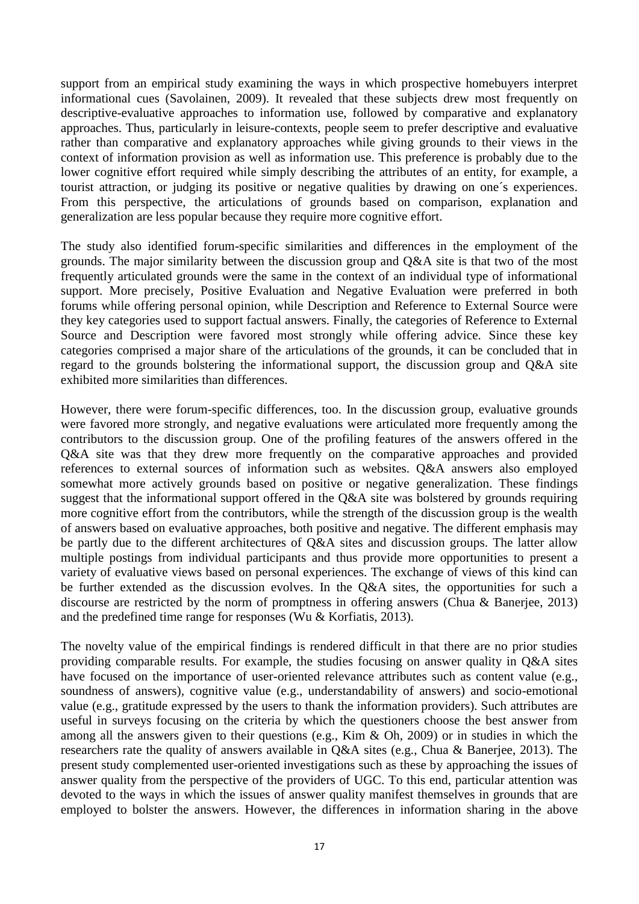support from an empirical study examining the ways in which prospective homebuyers interpret informational cues (Savolainen, 2009). It revealed that these subjects drew most frequently on descriptive-evaluative approaches to information use, followed by comparative and explanatory approaches. Thus, particularly in leisure-contexts, people seem to prefer descriptive and evaluative rather than comparative and explanatory approaches while giving grounds to their views in the context of information provision as well as information use. This preference is probably due to the lower cognitive effort required while simply describing the attributes of an entity, for example, a tourist attraction, or judging its positive or negative qualities by drawing on one´s experiences. From this perspective, the articulations of grounds based on comparison, explanation and generalization are less popular because they require more cognitive effort.

The study also identified forum-specific similarities and differences in the employment of the grounds. The major similarity between the discussion group and Q&A site is that two of the most frequently articulated grounds were the same in the context of an individual type of informational support. More precisely, Positive Evaluation and Negative Evaluation were preferred in both forums while offering personal opinion, while Description and Reference to External Source were they key categories used to support factual answers. Finally, the categories of Reference to External Source and Description were favored most strongly while offering advice. Since these key categories comprised a major share of the articulations of the grounds, it can be concluded that in regard to the grounds bolstering the informational support, the discussion group and Q&A site exhibited more similarities than differences.

However, there were forum-specific differences, too. In the discussion group, evaluative grounds were favored more strongly, and negative evaluations were articulated more frequently among the contributors to the discussion group. One of the profiling features of the answers offered in the Q&A site was that they drew more frequently on the comparative approaches and provided references to external sources of information such as websites. Q&A answers also employed somewhat more actively grounds based on positive or negative generalization. These findings suggest that the informational support offered in the Q&A site was bolstered by grounds requiring more cognitive effort from the contributors, while the strength of the discussion group is the wealth of answers based on evaluative approaches, both positive and negative. The different emphasis may be partly due to the different architectures of Q&A sites and discussion groups. The latter allow multiple postings from individual participants and thus provide more opportunities to present a variety of evaluative views based on personal experiences. The exchange of views of this kind can be further extended as the discussion evolves. In the Q&A sites, the opportunities for such a discourse are restricted by the norm of promptness in offering answers (Chua & Banerjee, 2013) and the predefined time range for responses (Wu & Korfiatis, 2013).

The novelty value of the empirical findings is rendered difficult in that there are no prior studies providing comparable results. For example, the studies focusing on answer quality in Q&A sites have focused on the importance of user-oriented relevance attributes such as content value (e.g., soundness of answers), cognitive value (e.g., understandability of answers) and socio-emotional value (e.g., gratitude expressed by the users to thank the information providers). Such attributes are useful in surveys focusing on the criteria by which the questioners choose the best answer from among all the answers given to their questions (e.g., Kim & Oh, 2009) or in studies in which the researchers rate the quality of answers available in Q&A sites (e.g., Chua & Banerjee, 2013). The present study complemented user-oriented investigations such as these by approaching the issues of answer quality from the perspective of the providers of UGC. To this end, particular attention was devoted to the ways in which the issues of answer quality manifest themselves in grounds that are employed to bolster the answers. However, the differences in information sharing in the above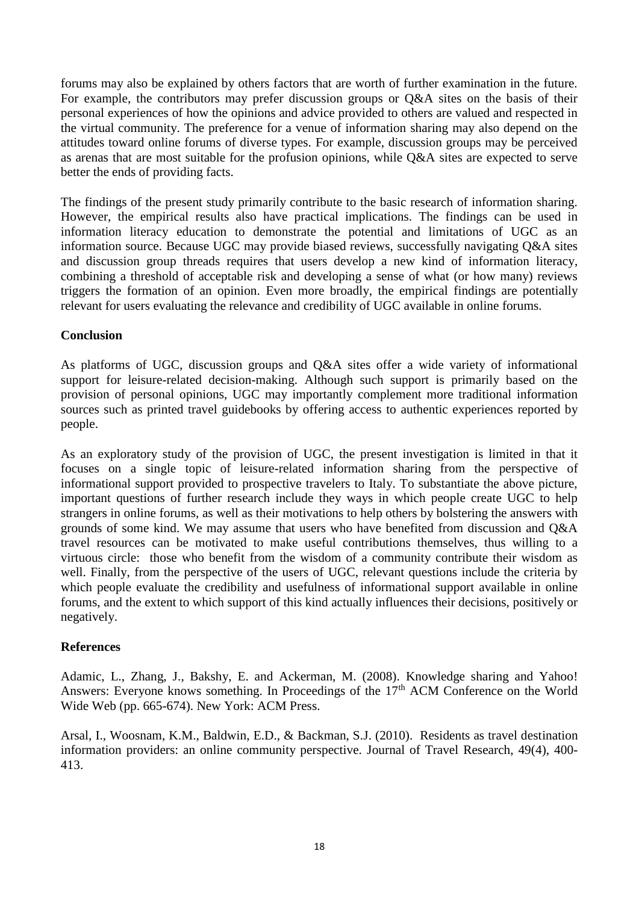forums may also be explained by others factors that are worth of further examination in the future. For example, the contributors may prefer discussion groups or Q&A sites on the basis of their personal experiences of how the opinions and advice provided to others are valued and respected in the virtual community. The preference for a venue of information sharing may also depend on the attitudes toward online forums of diverse types. For example, discussion groups may be perceived as arenas that are most suitable for the profusion opinions, while Q&A sites are expected to serve better the ends of providing facts.

The findings of the present study primarily contribute to the basic research of information sharing. However, the empirical results also have practical implications. The findings can be used in information literacy education to demonstrate the potential and limitations of UGC as an information source. Because UGC may provide biased reviews, successfully navigating Q&A sites and discussion group threads requires that users develop a new kind of information literacy, combining a threshold of acceptable risk and developing a sense of what (or how many) reviews triggers the formation of an opinion. Even more broadly, the empirical findings are potentially relevant for users evaluating the relevance and credibility of UGC available in online forums.

## **Conclusion**

As platforms of UGC, discussion groups and Q&A sites offer a wide variety of informational support for leisure-related decision-making. Although such support is primarily based on the provision of personal opinions, UGC may importantly complement more traditional information sources such as printed travel guidebooks by offering access to authentic experiences reported by people.

As an exploratory study of the provision of UGC, the present investigation is limited in that it focuses on a single topic of leisure-related information sharing from the perspective of informational support provided to prospective travelers to Italy. To substantiate the above picture, important questions of further research include they ways in which people create UGC to help strangers in online forums, as well as their motivations to help others by bolstering the answers with grounds of some kind. We may assume that users who have benefited from discussion and Q&A travel resources can be motivated to make useful contributions themselves, thus willing to a virtuous circle: those who benefit from the wisdom of a community contribute their wisdom as well. Finally, from the perspective of the users of UGC, relevant questions include the criteria by which people evaluate the credibility and usefulness of informational support available in online forums, and the extent to which support of this kind actually influences their decisions, positively or negatively.

#### **References**

Adamic, L., Zhang, J., Bakshy, E. and Ackerman, M. (2008). Knowledge sharing and Yahoo! Answers: Everyone knows something. In Proceedings of the  $17<sup>th</sup>$  ACM Conference on the World Wide Web (pp. 665-674). New York: ACM Press.

Arsal, I., Woosnam, K.M., Baldwin, E.D., & Backman, S.J. (2010). Residents as travel destination information providers: an online community perspective. Journal of Travel Research, 49(4), 400- 413.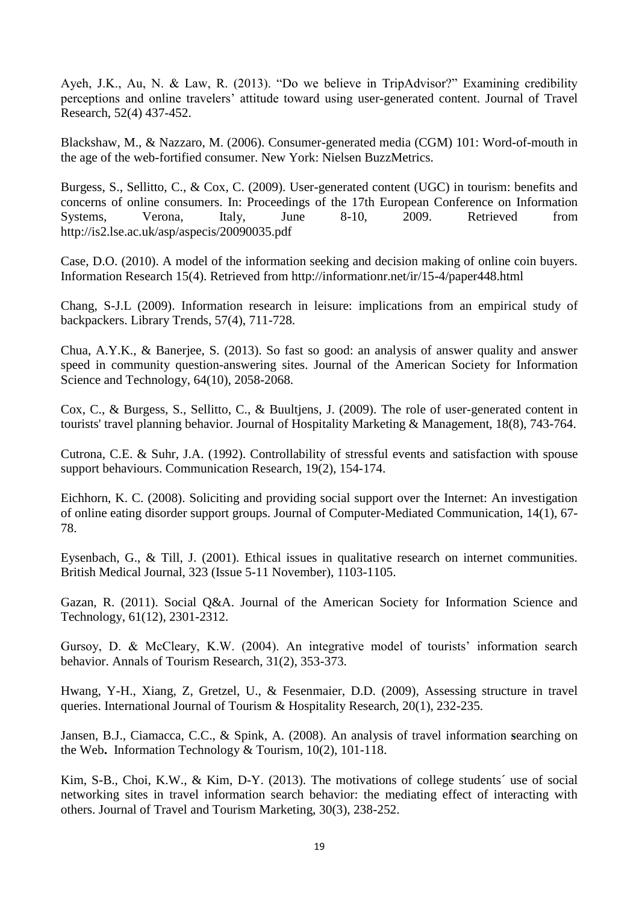Ayeh, J.K., Au, N. & Law, R. (2013). "Do we believe in TripAdvisor?" Examining credibility perceptions and online travelers' attitude toward using user-generated content. Journal of Travel Research, 52(4) 437-452.

Blackshaw, M., & Nazzaro, M. (2006). Consumer-generated media (CGM) 101: Word-of-mouth in the age of the web-fortified consumer. New York: Nielsen BuzzMetrics.

Burgess, S., Sellitto, C., & Cox, C. (2009). User-generated content (UGC) in tourism: benefits and concerns of online consumers. In: Proceedings of the 17th European Conference on Information Systems, Verona, Italy, June 8-10, 2009. Retrieved from http://is2.lse.ac.uk/asp/aspecis/20090035.pdf

Case, D.O. (2010). A model of the information seeking and decision making of online coin buyers. Information Research 15(4). Retrieved from http://informationr.net/ir/15-4/paper448.html

Chang, S-J.L (2009). Information research in leisure: implications from an empirical study of backpackers. Library Trends, 57(4), 711-728.

Chua, A.Y.K., & Banerjee, S. (2013). So fast so good: an analysis of answer quality and answer speed in community question-answering sites. Journal of the American Society for Information Science and Technology, 64(10), 2058-2068.

Cox, C., & Burgess, S., Sellitto, C., & Buultjens, J. (2009). [The role of user-generated content in](http://web.ebscohost.com/ehost/viewarticle?data=dGJyMPPp44rp2%2fdV0%2bnjisfk5Ie46bJPta6zSrGk63nn5Kx95uXxjL6qrUq3pbBIr6meTbinsFKvrp5Zy5zyit%2fk8Xnh6ueH7N%2fiVa%2botEiwrLNRr6ukhN%2fk5VXj5KR84LPfiOac8nnls79mpNfsVbKqtEquq7RMpNztiuvX8lXk6%2bqE8tv2jAAA&hid=27)  [tourists' travel](http://web.ebscohost.com/ehost/viewarticle?data=dGJyMPPp44rp2%2fdV0%2bnjisfk5Ie46bJPta6zSrGk63nn5Kx95uXxjL6qrUq3pbBIr6meTbinsFKvrp5Zy5zyit%2fk8Xnh6ueH7N%2fiVa%2botEiwrLNRr6ukhN%2fk5VXj5KR84LPfiOac8nnls79mpNfsVbKqtEquq7RMpNztiuvX8lXk6%2bqE8tv2jAAA&hid=27) planning behavior. Journal of Hospitality Marketing & Management, 18(8), 743-764.

Cutrona, C.E. & Suhr, J.A. (1992). Controllability of stressful events and satisfaction with spouse support behaviours. Communication Research, 19(2), 154-174.

Eichhorn, K. C. (2008). Soliciting and providing social support over the Internet: An investigation of online eating disorder support groups. Journal of Computer-Mediated Communication, 14(1), 67- 78.

Eysenbach, G., & Till, J. (2001). Ethical issues in qualitative research on internet communities. British Medical Journal, 323 (Issue 5-11 November), 1103-1105.

Gazan, R. (2011). Social Q&A. Journal of the American Society for Information Science and Technology, 61(12), 2301-2312.

Gursoy, D. & McCleary, K.W. (2004). An integrative model of tourists' information search behavior. Annals of Tourism Research, 31(2), 353-373.

Hwang, Y-H., Xiang, Z, Gretzel, U., & Fesenmaier, D.D. (2009), Assessing structure in travel queries. International Journal of Tourism & Hospitality Research, 20(1), 232-235.

Jansen, B.J., Ciamacca, C.C., & Spink, A. (2008). An analysis of travel information **s**earching on the Web**.** [Information Technology & Tourism,](http://www.ingentaconnect.com/content/cog/itt) 10(2), 101-118.

Kim, S-B., Choi, K.W., & Kim, D-Y. (2013). The motivations of college students´ use of social networking sites in travel information search behavior: the mediating effect of interacting with others. Journal of Travel and Tourism Marketing, 30(3), 238-252.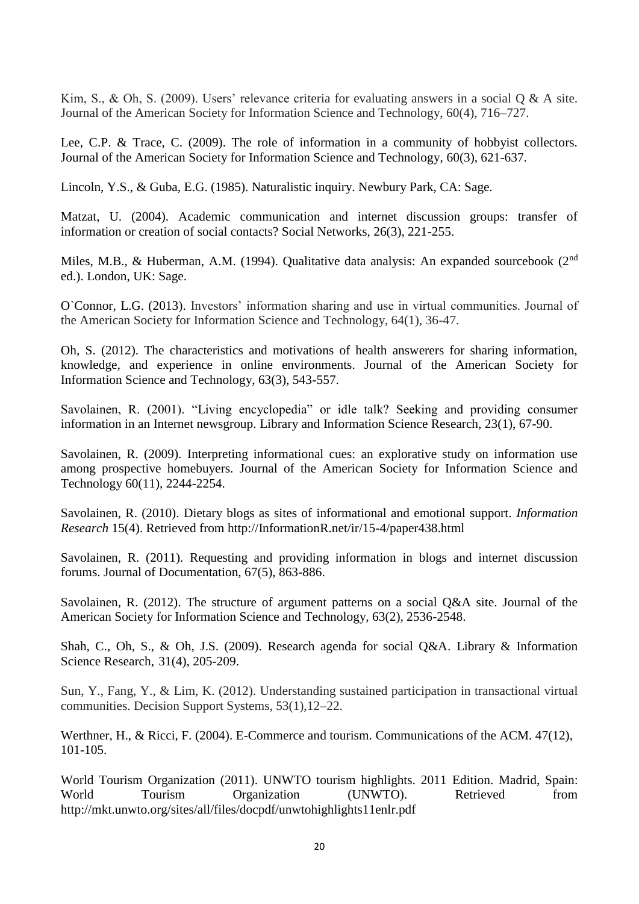Kim, S., & Oh, S. (2009). Users' relevance criteria for evaluating answers in a social Q & A site. Journal of the American Society for Information Science and Technology, 60(4), 716–727.

Lee, C.P. & Trace, C. (2009). The role of information in a community of hobbyist collectors. Journal of the American Society for Information Science and Technology, 60(3), 621-637.

Lincoln, Y.S., & Guba, E.G. (1985). Naturalistic inquiry. Newbury Park, CA: Sage.

Matzat, U. (2004). Academic communication and internet discussion groups: transfer of information or creation of social contacts? Social Networks, 26(3), 221-255.

Miles, M.B., & Huberman, A.M. (1994). Qualitative data analysis: An expanded sourcebook (2<sup>nd</sup>) ed.). London, UK: Sage.

O`Connor, L.G. (2013). Investors' information sharing and use in virtual communities. Journal of the American Society for Information Science and Technology, 64(1), 36-47.

Oh, S. (2012). The characteristics and motivations of health answerers for sharing information, knowledge, and experience in online environments. Journal of the American Society for Information Science and Technology, 63(3), 543-557.

Savolainen, R. (2001). "Living encyclopedia" or idle talk? Seeking and providing consumer information in an Internet newsgroup. Library and Information Science Research, 23(1), 67-90.

Savolainen, R. (2009). Interpreting informational cues: an explorative study on information use among prospective homebuyers. Journal of the American Society for Information Science and Technology 60(11), 2244-2254.

Savolainen, R. (2010). Dietary blogs as sites of informational and emotional support. *Information Research* 15(4). Retrieved from [http://InformationR.net/ir/15-4/paper438.html](http://informationr.net/ir/15-4/paper438.html)

Savolainen, R. (2011). Requesting and providing information in blogs and internet discussion forums. Journal of Documentation, 67(5), 863-886.

Savolainen, R. (2012). The structure of argument patterns on a social Q&A site. Journal of the American Society for Information Science and Technology, 63(2), 2536-2548.

Shah, C., Oh, S., & Oh, J.S. (2009). [Research agenda for social Q&A.](http://search.proquest.com/lisa/docview/57691090/133A820528C51F37F7/37?accountid=14242) Library & Information Science Research, 31(4), 205-209.

Sun, Y., Fang, Y., & Lim, K. (2012). Understanding sustained participation in transactional virtual communities. Decision Support Systems, 53(1),12–22.

Werthner, H., & Ricci, F. (2004). E-Commerce and tourism. Communications of the ACM. 47(12), 101-105.

World Tourism Organization (2011). UNWTO tourism highlights. 2011 Edition. Madrid, Spain: World Tourism Organization (UNWTO). Retrieved from http://mkt.unwto.org/sites/all/files/docpdf/unwtohighlights11enlr.pdf